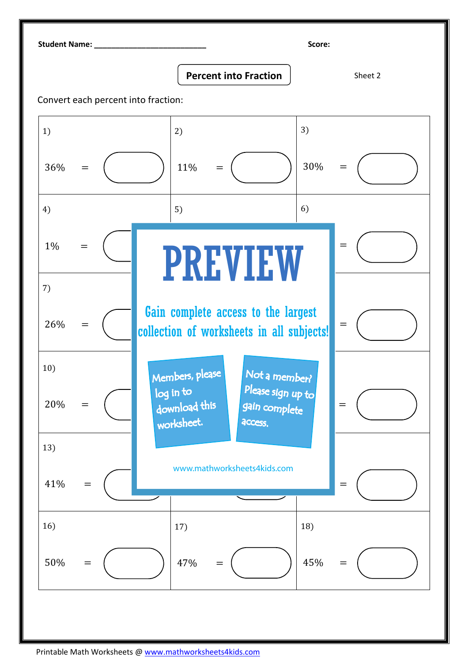